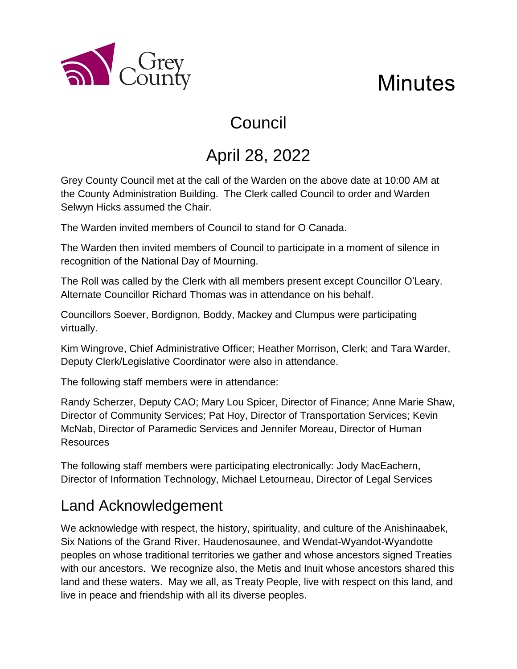

# **Minutes**

# Council

# April 28, 2022

Grey County Council met at the call of the Warden on the above date at 10:00 AM at the County Administration Building. The Clerk called Council to order and Warden Selwyn Hicks assumed the Chair.

The Warden invited members of Council to stand for O Canada.

The Warden then invited members of Council to participate in a moment of silence in recognition of the National Day of Mourning.

The Roll was called by the Clerk with all members present except Councillor O'Leary. Alternate Councillor Richard Thomas was in attendance on his behalf.

Councillors Soever, Bordignon, Boddy, Mackey and Clumpus were participating virtually.

Kim Wingrove, Chief Administrative Officer; Heather Morrison, Clerk; and Tara Warder, Deputy Clerk/Legislative Coordinator were also in attendance.

The following staff members were in attendance:

Randy Scherzer, Deputy CAO; Mary Lou Spicer, Director of Finance; Anne Marie Shaw, Director of Community Services; Pat Hoy, Director of Transportation Services; Kevin McNab, Director of Paramedic Services and Jennifer Moreau, Director of Human Resources

The following staff members were participating electronically: Jody MacEachern, Director of Information Technology, Michael Letourneau, Director of Legal Services

# Land Acknowledgement

We acknowledge with respect, the history, spirituality, and culture of the Anishinaabek, Six Nations of the Grand River, Haudenosaunee, and Wendat-Wyandot-Wyandotte peoples on whose traditional territories we gather and whose ancestors signed Treaties with our ancestors. We recognize also, the Metis and Inuit whose ancestors shared this land and these waters. May we all, as Treaty People, live with respect on this land, and live in peace and friendship with all its diverse peoples.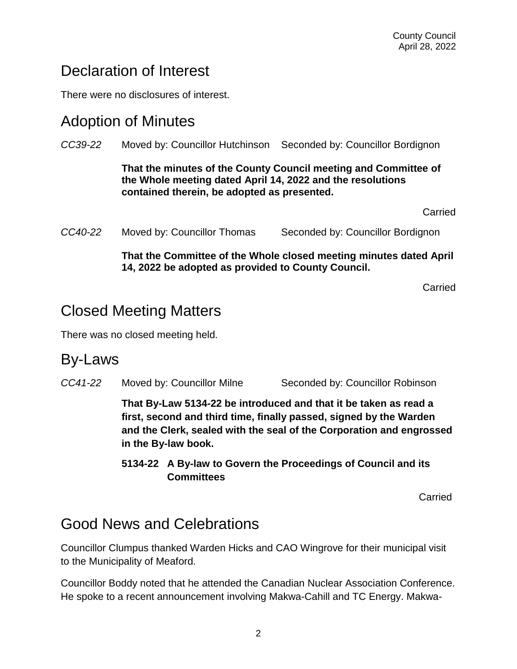## Declaration of Interest

There were no disclosures of interest.

#### Adoption of Minutes

*CC39-22* Moved by: Councillor Hutchinson Seconded by: Councillor Bordignon **That the minutes of the County Council meeting and Committee of the Whole meeting dated April 14, 2022 and the resolutions contained therein, be adopted as presented.**  Carried *CC40-22* Moved by: Councillor Thomas Seconded by: Councillor Bordignon **That the Committee of the Whole closed meeting minutes dated April 14, 2022 be adopted as provided to County Council.**

Carried

# Closed Meeting Matters

There was no closed meeting held.

#### By-Laws

*CC41-22* Moved by: Councillor Milne Seconded by: Councillor Robinson

**That By-Law 5134-22 be introduced and that it be taken as read a first, second and third time, finally passed, signed by the Warden and the Clerk, sealed with the seal of the Corporation and engrossed in the By-law book.**

**5134-22 A By-law to Govern the Proceedings of Council and its Committees**

**Carried** 

## Good News and Celebrations

Councillor Clumpus thanked Warden Hicks and CAO Wingrove for their municipal visit to the Municipality of Meaford.

Councillor Boddy noted that he attended the Canadian Nuclear Association Conference. He spoke to a recent announcement involving Makwa-Cahill and TC Energy. Makwa